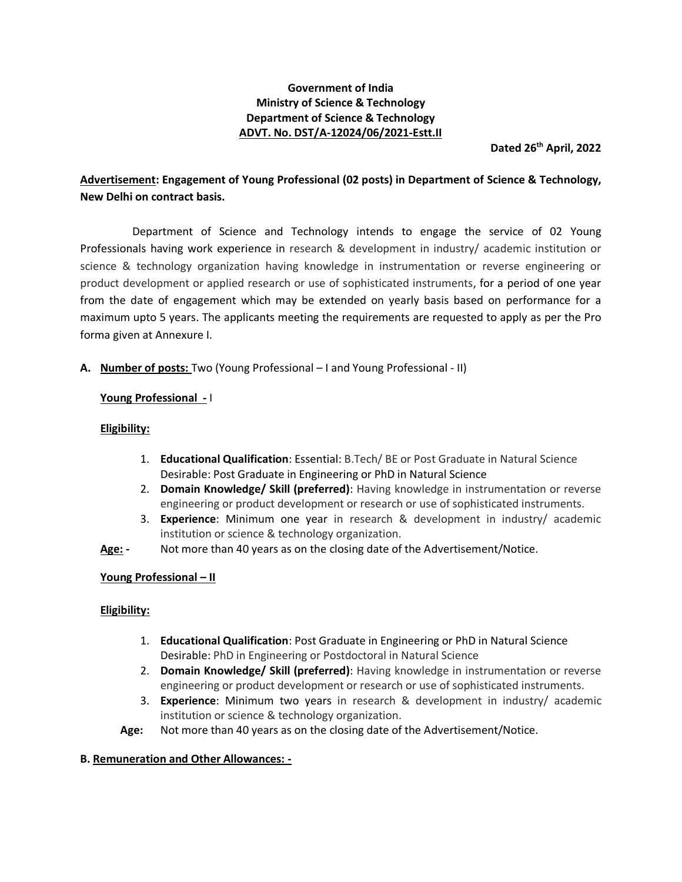## **Government of India Ministry of Science & Technology Department of Science & Technology ADVT. No. DST/A-12024/06/2021-Estt.II**

**Dated 26th April, 2022**

## **Advertisement: Engagement of Young Professional (02 posts) in Department of Science & Technology, New Delhi on contract basis.**

Department of Science and Technology intends to engage the service of 02 Young Professionals having work experience in research & development in industry/ academic institution or science & technology organization having knowledge in instrumentation or reverse engineering or product development or applied research or use of sophisticated instruments, for a period of one year from the date of engagement which may be extended on yearly basis based on performance for a maximum upto 5 years. The applicants meeting the requirements are requested to apply as per the Pro forma given at Annexure I.

**A. Number of posts:** Two (Young Professional – I and Young Professional - II)

## **Young Professional -** I

#### **Eligibility:**

- 1. **Educational Qualification**: Essential: B.Tech/ BE or Post Graduate in Natural Science Desirable: Post Graduate in Engineering or PhD in Natural Science
- 2. **Domain Knowledge/ Skill (preferred)**: Having knowledge in instrumentation or reverse engineering or product development or research or use of sophisticated instruments.
- 3. **Experience**: Minimum one year in research & development in industry/ academic institution or science & technology organization.
- **Age: -** Not more than 40 years as on the closing date of the Advertisement/Notice.

#### **Young Professional – II**

#### **Eligibility:**

- 1. **Educational Qualification**: Post Graduate in Engineering or PhD in Natural Science Desirable: PhD in Engineering or Postdoctoral in Natural Science
- 2. **Domain Knowledge/ Skill (preferred)**: Having knowledge in instrumentation or reverse engineering or product development or research or use of sophisticated instruments.
- 3. **Experience**: Minimum two years in research & development in industry/ academic institution or science & technology organization.
- **Age:** Not more than 40 years as on the closing date of the Advertisement/Notice.

#### **B. Remuneration and Other Allowances: -**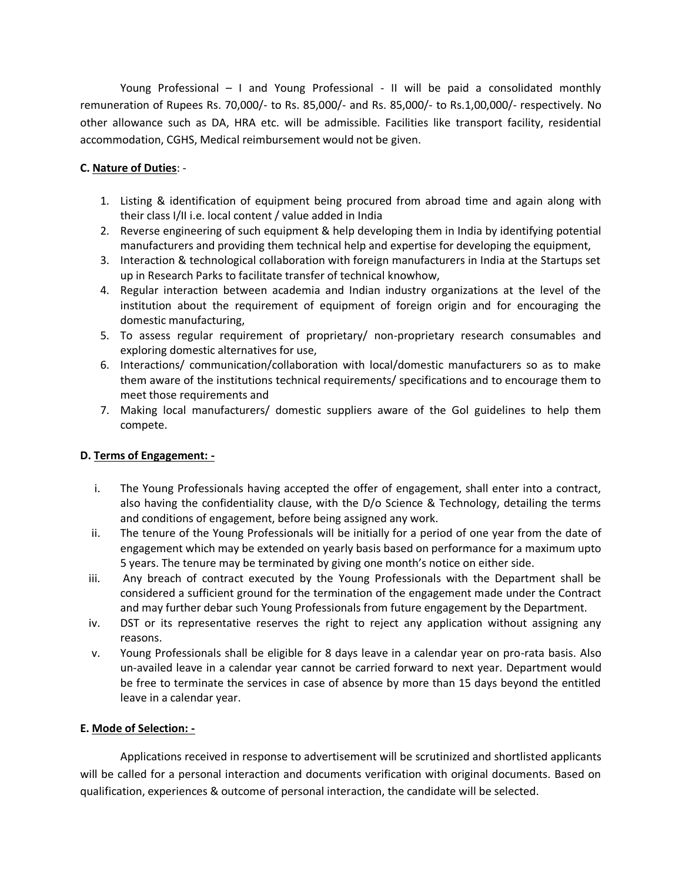Young Professional – I and Young Professional - II will be paid a consolidated monthly remuneration of Rupees Rs. 70,000/- to Rs. 85,000/- and Rs. 85,000/- to Rs.1,00,000/- respectively. No other allowance such as DA, HRA etc. will be admissible. Facilities like transport facility, residential accommodation, CGHS, Medical reimbursement would not be given.

## **C. Nature of Duties**: -

- 1. Listing & identification of equipment being procured from abroad time and again along with their class I/II i.e. local content / value added in India
- 2. Reverse engineering of such equipment & help developing them in India by identifying potential manufacturers and providing them technical help and expertise for developing the equipment,
- 3. Interaction & technological collaboration with foreign manufacturers in India at the Startups set up in Research Parks to facilitate transfer of technical knowhow,
- 4. Regular interaction between academia and Indian industry organizations at the level of the institution about the requirement of equipment of foreign origin and for encouraging the domestic manufacturing,
- 5. To assess regular requirement of proprietary/ non-proprietary research consumables and exploring domestic alternatives for use,
- 6. Interactions/ communication/collaboration with local/domestic manufacturers so as to make them aware of the institutions technical requirements/ specifications and to encourage them to meet those requirements and
- 7. Making local manufacturers/ domestic suppliers aware of the Gol guidelines to help them compete.

## **D. Terms of Engagement: -**

- i. The Young Professionals having accepted the offer of engagement, shall enter into a contract, also having the confidentiality clause, with the D/o Science & Technology, detailing the terms and conditions of engagement, before being assigned any work.
- ii. The tenure of the Young Professionals will be initially for a period of one year from the date of engagement which may be extended on yearly basis based on performance for a maximum upto 5 years. The tenure may be terminated by giving one month's notice on either side.
- iii. Any breach of contract executed by the Young Professionals with the Department shall be considered a sufficient ground for the termination of the engagement made under the Contract and may further debar such Young Professionals from future engagement by the Department.
- iv. DST or its representative reserves the right to reject any application without assigning any reasons.
- v. Young Professionals shall be eligible for 8 days leave in a calendar year on pro-rata basis. Also un-availed leave in a calendar year cannot be carried forward to next year. Department would be free to terminate the services in case of absence by more than 15 days beyond the entitled leave in a calendar year.

#### **E. Mode of Selection: -**

Applications received in response to advertisement will be scrutinized and shortlisted applicants will be called for a personal interaction and documents verification with original documents. Based on qualification, experiences & outcome of personal interaction, the candidate will be selected.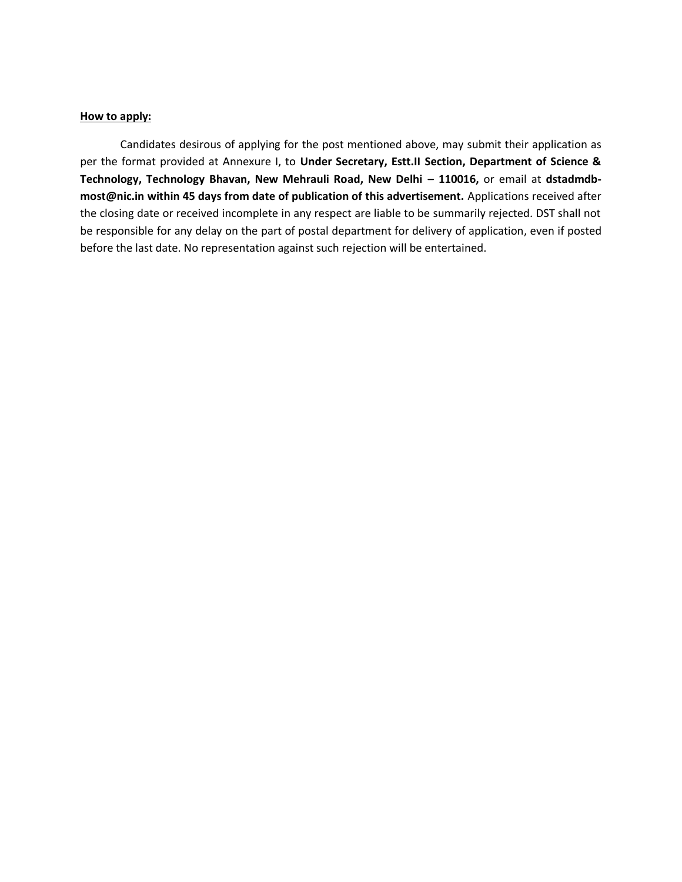#### **How to apply:**

Candidates desirous of applying for the post mentioned above, may submit their application as per the format provided at Annexure I, to **Under Secretary, Estt.II Section, Department of Science &**  Technology, Technology Bhavan, New Mehrauli Road, New Delhi - 110016, or email at dstadmdb**most@nic.in within 45 days from date of publication of this advertisement.** Applications received after the closing date or received incomplete in any respect are liable to be summarily rejected. DST shall not be responsible for any delay on the part of postal department for delivery of application, even if posted before the last date. No representation against such rejection will be entertained.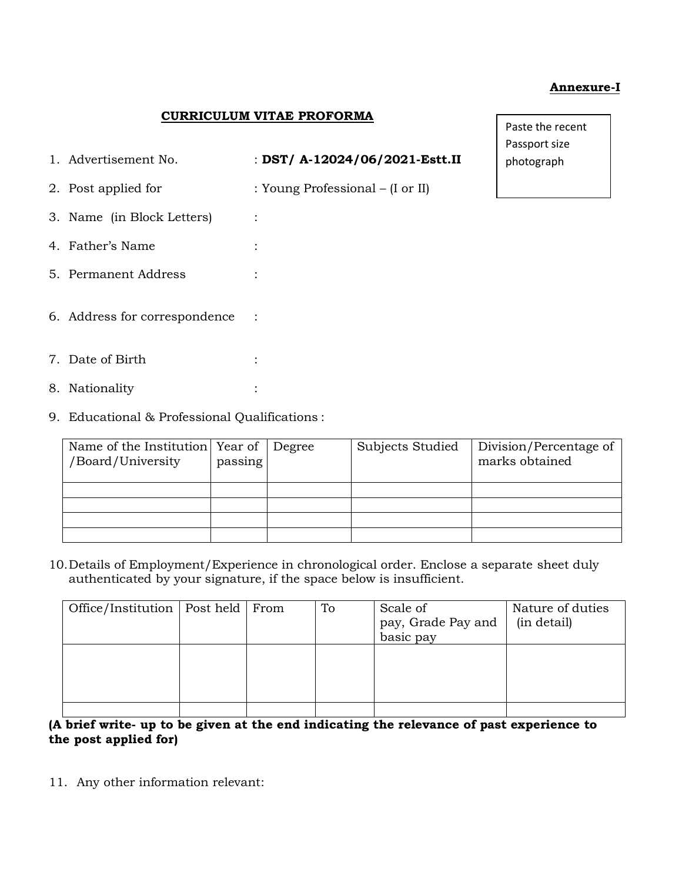### **Annexure-I**

### **CURRICULUM VITAE PROFORMA**

| 1. Advertisement No.                          | : DST/ A-12024/06/2021-Estt.II   |  |  |  |  |
|-----------------------------------------------|----------------------------------|--|--|--|--|
| 2. Post applied for                           | : Young Professional – (I or II) |  |  |  |  |
| 3. Name (in Block Letters)                    |                                  |  |  |  |  |
| 4. Father's Name                              |                                  |  |  |  |  |
| 5. Permanent Address                          |                                  |  |  |  |  |
| 6. Address for correspondence                 |                                  |  |  |  |  |
| 7. Date of Birth                              |                                  |  |  |  |  |
| 8. Nationality                                |                                  |  |  |  |  |
| 9. Educational & Professional Qualifications: |                                  |  |  |  |  |

passing

Paste the recent Passport size photograph

10.Details of Employment/Experience in chronological order. Enclose a separate sheet duly authenticated by your signature, if the space below is insufficient.

Degree Subjects Studied Division/Percentage of

marks obtained

| Office/Institution   Post held   From |  | To | Scale of<br>pay, Grade Pay and<br>basic pay | Nature of duties<br>(in detail) |
|---------------------------------------|--|----|---------------------------------------------|---------------------------------|
|                                       |  |    |                                             |                                 |
|                                       |  |    |                                             |                                 |

## **(A brief write- up to be given at the end indicating the relevance of past experience to the post applied for)**

11. Any other information relevant:

Name of the Institution Year of

/Board/University